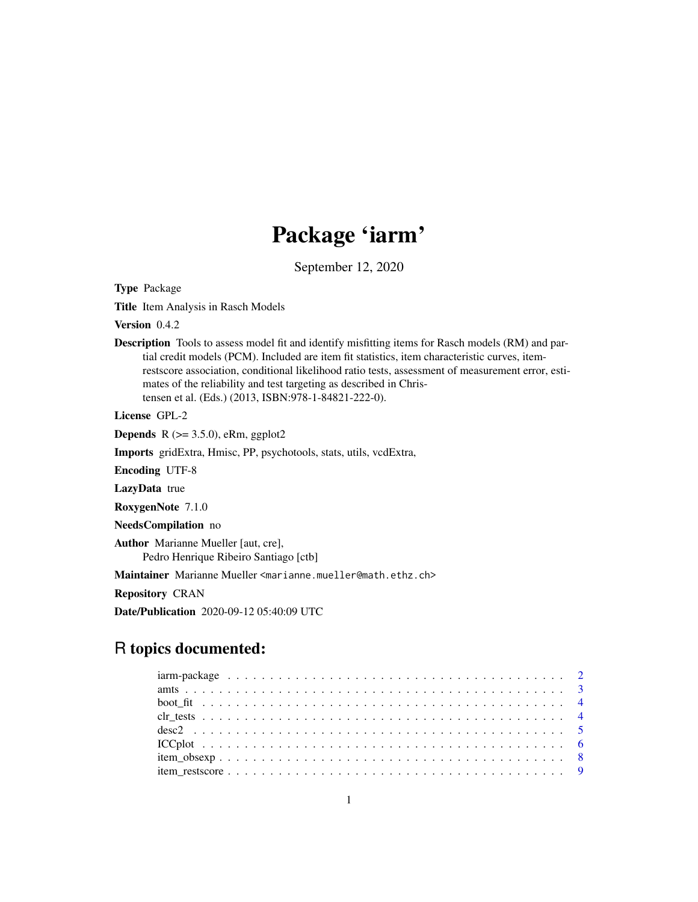# Package 'iarm'

September 12, 2020

<span id="page-0-0"></span>Type Package

Title Item Analysis in Rasch Models

Version 0.4.2

Description Tools to assess model fit and identify misfitting items for Rasch models (RM) and partial credit models (PCM). Included are item fit statistics, item characteristic curves, itemrestscore association, conditional likelihood ratio tests, assessment of measurement error, estimates of the reliability and test targeting as described in Christensen et al. (Eds.) (2013, ISBN:978-1-84821-222-0).

License GPL-2

**Depends** R  $(>= 3.5.0)$ , eRm, ggplot2

Imports gridExtra, Hmisc, PP, psychotools, stats, utils, vcdExtra,

Encoding UTF-8

LazyData true

RoxygenNote 7.1.0

NeedsCompilation no

Author Marianne Mueller [aut, cre], Pedro Henrique Ribeiro Santiago [ctb]

Maintainer Marianne Mueller <marianne.mueller@math.ethz.ch>

Repository CRAN

Date/Publication 2020-09-12 05:40:09 UTC

# R topics documented: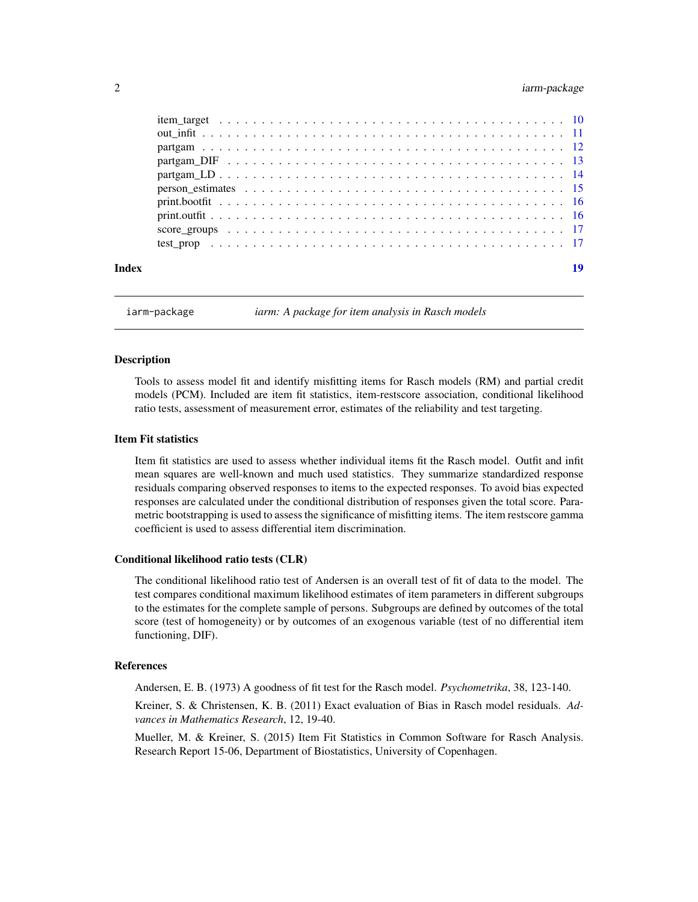# <span id="page-1-0"></span>2 iarm-package

| Index |  |
|-------|--|
|       |  |
|       |  |
|       |  |
|       |  |
|       |  |
|       |  |
|       |  |
|       |  |
|       |  |
|       |  |

iarm-package *iarm: A package for item analysis in Rasch models*

#### **Description**

Tools to assess model fit and identify misfitting items for Rasch models (RM) and partial credit models (PCM). Included are item fit statistics, item-restscore association, conditional likelihood ratio tests, assessment of measurement error, estimates of the reliability and test targeting.

#### Item Fit statistics

Item fit statistics are used to assess whether individual items fit the Rasch model. Outfit and infit mean squares are well-known and much used statistics. They summarize standardized response residuals comparing observed responses to items to the expected responses. To avoid bias expected responses are calculated under the conditional distribution of responses given the total score. Parametric bootstrapping is used to assess the significance of misfitting items. The item restscore gamma coefficient is used to assess differential item discrimination.

#### Conditional likelihood ratio tests (CLR)

The conditional likelihood ratio test of Andersen is an overall test of fit of data to the model. The test compares conditional maximum likelihood estimates of item parameters in different subgroups to the estimates for the complete sample of persons. Subgroups are defined by outcomes of the total score (test of homogeneity) or by outcomes of an exogenous variable (test of no differential item functioning, DIF).

#### References

Andersen, E. B. (1973) A goodness of fit test for the Rasch model. *Psychometrika*, 38, 123-140.

Kreiner, S. & Christensen, K. B. (2011) Exact evaluation of Bias in Rasch model residuals. *Advances in Mathematics Research*, 12, 19-40.

Mueller, M. & Kreiner, S. (2015) Item Fit Statistics in Common Software for Rasch Analysis. Research Report 15-06, Department of Biostatistics, University of Copenhagen.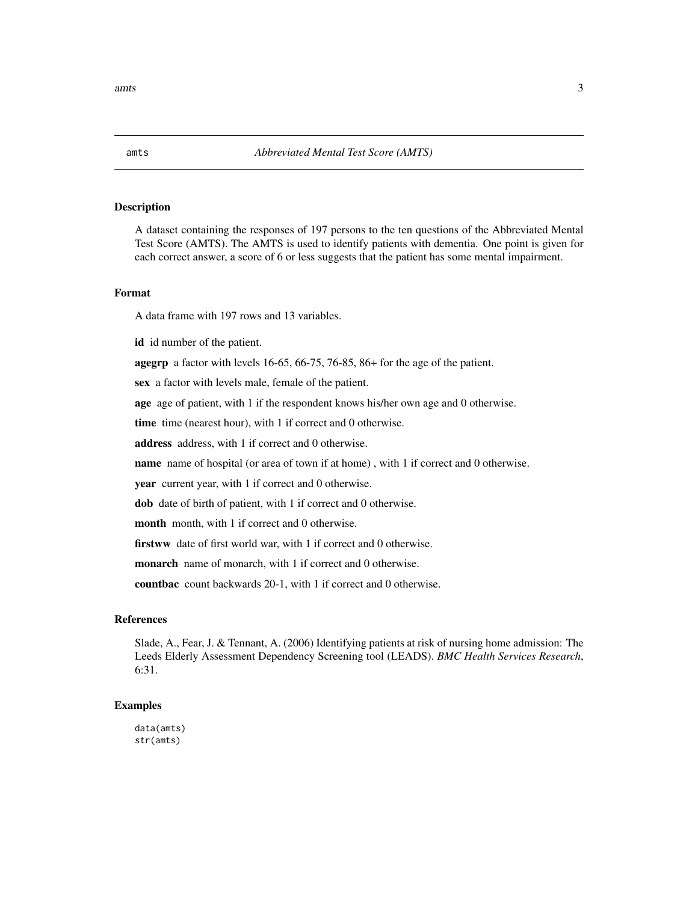<span id="page-2-0"></span>A dataset containing the responses of 197 persons to the ten questions of the Abbreviated Mental Test Score (AMTS). The AMTS is used to identify patients with dementia. One point is given for each correct answer, a score of 6 or less suggests that the patient has some mental impairment.

#### Format

A data frame with 197 rows and 13 variables.

id id number of the patient.

agegrp a factor with levels 16-65, 66-75, 76-85, 86+ for the age of the patient.

sex a factor with levels male, female of the patient.

age age of patient, with 1 if the respondent knows his/her own age and 0 otherwise.

time time (nearest hour), with 1 if correct and 0 otherwise.

address address, with 1 if correct and 0 otherwise.

name name of hospital (or area of town if at home) , with 1 if correct and 0 otherwise.

year current year, with 1 if correct and 0 otherwise.

dob date of birth of patient, with 1 if correct and 0 otherwise.

month month, with 1 if correct and 0 otherwise.

firstww date of first world war, with 1 if correct and 0 otherwise.

monarch name of monarch, with 1 if correct and 0 otherwise.

countbac count backwards 20-1, with 1 if correct and 0 otherwise.

# References

Slade, A., Fear, J. & Tennant, A. (2006) Identifying patients at risk of nursing home admission: The Leeds Elderly Assessment Dependency Screening tool (LEADS). *BMC Health Services Research*, 6:31.

#### Examples

data(amts) str(amts)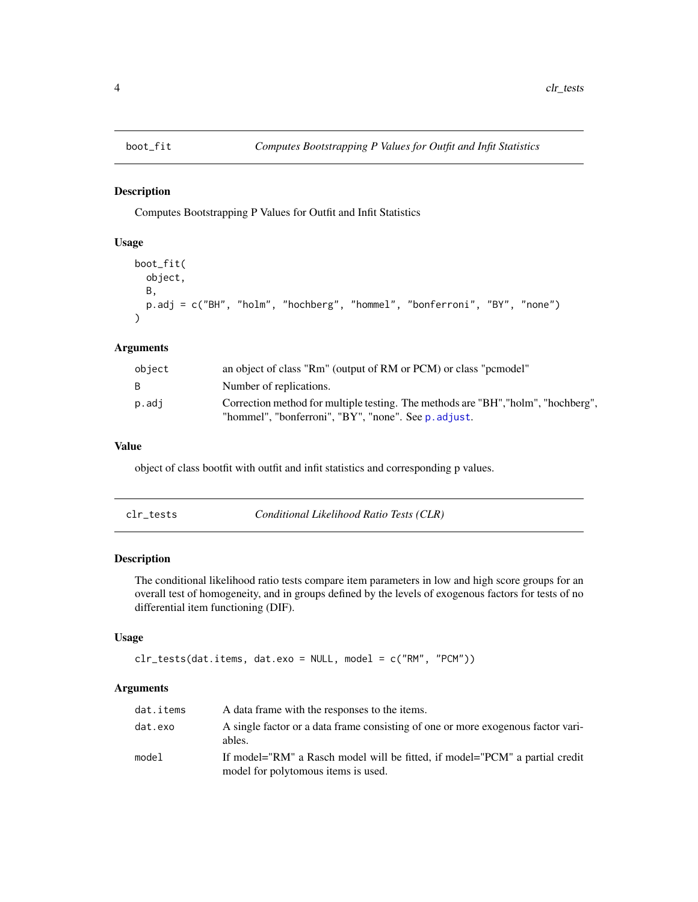<span id="page-3-0"></span>

Computes Bootstrapping P Values for Outfit and Infit Statistics

#### Usage

```
boot_fit(
 object,
 B,
 p.adj = c("BH", "holm", "hochberg", "hommel", "bonferroni", "BY", "none")
)
```
# Arguments

| object | an object of class "Rm" (output of RM or PCM) or class "pemodel"                                                                          |
|--------|-------------------------------------------------------------------------------------------------------------------------------------------|
| B.     | Number of replications.                                                                                                                   |
| p.adj  | Correction method for multiple testing. The methods are "BH", "holm", "hochberg",<br>"hommel", "bonferroni", "BY", "none". See p. adjust. |

# Value

object of class bootfit with outfit and infit statistics and corresponding p values.

| clr_tests | Conditional Likelihood Ratio Tests (CLR) |
|-----------|------------------------------------------|
|           |                                          |

# Description

The conditional likelihood ratio tests compare item parameters in low and high score groups for an overall test of homogeneity, and in groups defined by the levels of exogenous factors for tests of no differential item functioning (DIF).

## Usage

```
clr_tests(data.items, dat.exo = NULL, model = c("RM", "PCM"))
```
# Arguments

| dat.items | A data frame with the responses to the items.                                                                      |
|-----------|--------------------------------------------------------------------------------------------------------------------|
| dat.exo   | A single factor or a data frame consisting of one or more exogenous factor vari-<br>ables.                         |
| model     | If model="RM" a Rasch model will be fitted, if model="PCM" a partial credit<br>model for polytomous items is used. |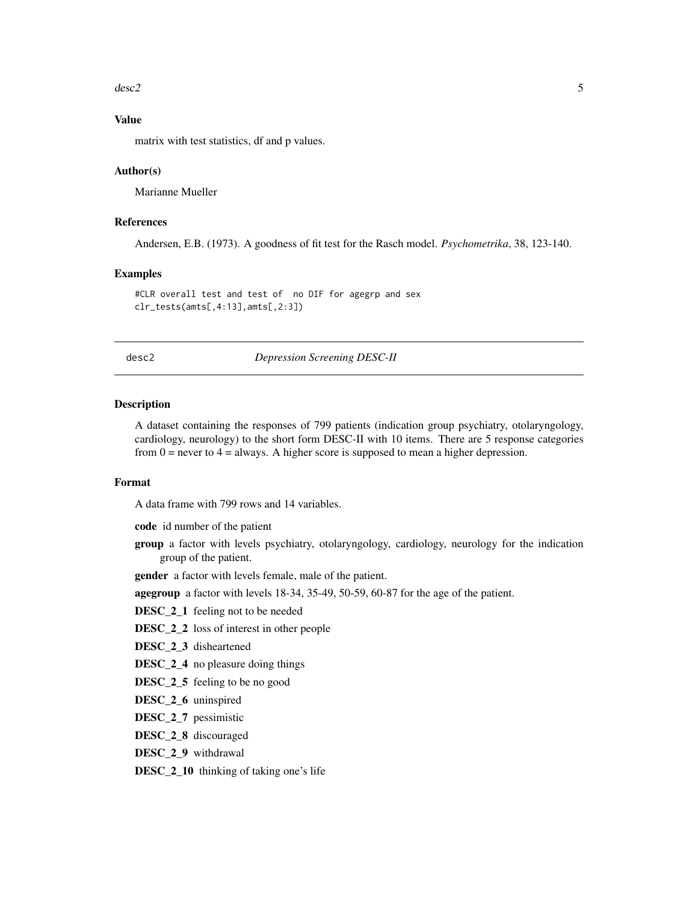#### <span id="page-4-0"></span> $\text{desc2}$  5

# Value

matrix with test statistics, df and p values.

#### Author(s)

Marianne Mueller

## References

Andersen, E.B. (1973). A goodness of fit test for the Rasch model. *Psychometrika*, 38, 123-140.

#### Examples

#CLR overall test and test of no DIF for agegrp and sex clr\_tests(amts[,4:13],amts[,2:3])

desc2 *Depression Screening DESC-II*

#### Description

A dataset containing the responses of 799 patients (indication group psychiatry, otolaryngology, cardiology, neurology) to the short form DESC-II with 10 items. There are 5 response categories from  $0 =$  never to  $4 =$  always. A higher score is supposed to mean a higher depression.

## Format

A data frame with 799 rows and 14 variables.

code id number of the patient

group a factor with levels psychiatry, otolaryngology, cardiology, neurology for the indication group of the patient.

gender a factor with levels female, male of the patient.

agegroup a factor with levels 18-34, 35-49, 50-59, 60-87 for the age of the patient.

- DESC<sub>\_2</sub>\_1 feeling not to be needed
- DESC<sub>\_2</sub>\_2 loss of interest in other people
- DESC 2 3 disheartened
- DESC<sub>\_2</sub>\_4 no pleasure doing things
- DESC<sub>\_2</sub>\_5 feeling to be no good
- DESC<sub>\_2\_6</sub> uninspired
- DESC\_2\_7 pessimistic
- DESC<sub>\_2\_8</sub> discouraged
- DESC\_2\_9 withdrawal

DESC\_2\_10 thinking of taking one's life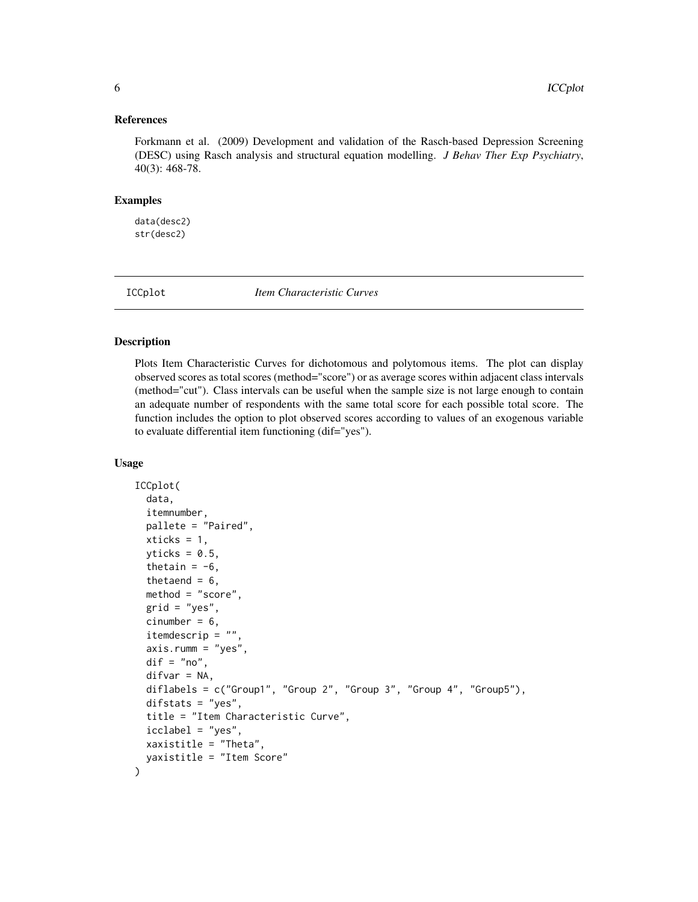#### <span id="page-5-0"></span>References

Forkmann et al. (2009) Development and validation of the Rasch-based Depression Screening (DESC) using Rasch analysis and structural equation modelling. *J Behav Ther Exp Psychiatry*, 40(3): 468-78.

#### Examples

data(desc2) str(desc2)

ICCplot *Item Characteristic Curves*

#### Description

Plots Item Characteristic Curves for dichotomous and polytomous items. The plot can display observed scores as total scores (method="score") or as average scores within adjacent class intervals (method="cut"). Class intervals can be useful when the sample size is not large enough to contain an adequate number of respondents with the same total score for each possible total score. The function includes the option to plot observed scores according to values of an exogenous variable to evaluate differential item functioning (dif="yes").

#### Usage

```
ICCplot(
  data,
  itemnumber,
 pallete = "Paired",
  xticks = 1,
  yticks = 0.5,
  thetain = -6,
  thetaend = 6,
 method = "score",
  grid = "yes",cinumber = 6,
  itemdescrip = "",
  axis.rumm = "yes",
  dir = "no",difvar = NA,
  diflabels = c("Group1", "Group 2", "Group 3", "Group 4", "Group5"),
  difstats = "yes",title = "Item Characteristic Curve",
  icclabel = "yes",
 xaxistitle = "Theta",
 yaxistitle = "Item Score"
)
```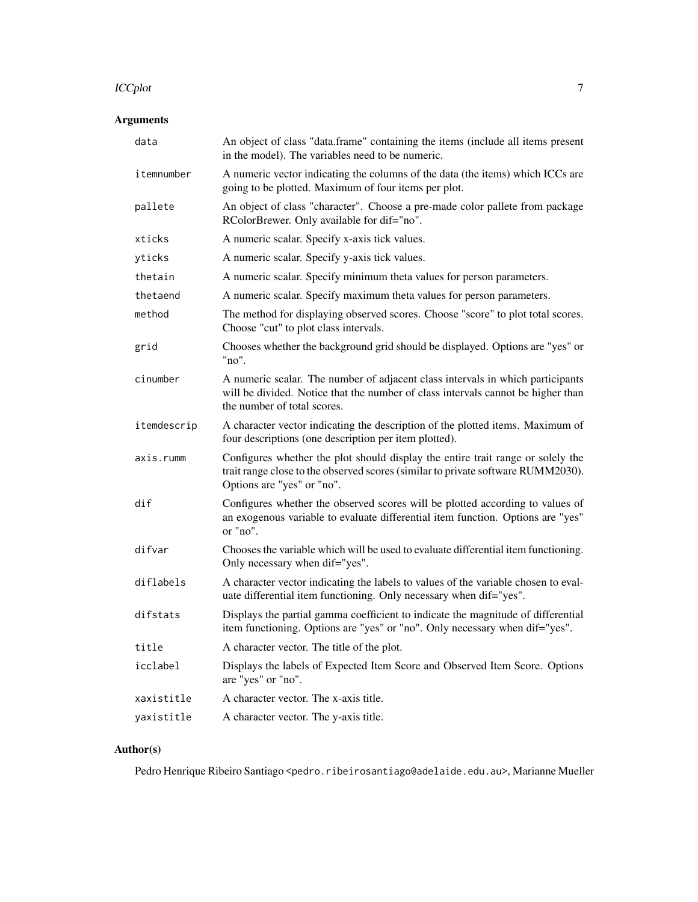#### ICCplot  $1$

# Arguments

| data        | An object of class "data.frame" containing the items (include all items present<br>in the model). The variables need to be numeric.                                                               |
|-------------|---------------------------------------------------------------------------------------------------------------------------------------------------------------------------------------------------|
| itemnumber  | A numeric vector indicating the columns of the data (the items) which ICCs are<br>going to be plotted. Maximum of four items per plot.                                                            |
| pallete     | An object of class "character". Choose a pre-made color pallete from package<br>RColorBrewer. Only available for dif="no".                                                                        |
| xticks      | A numeric scalar. Specify x-axis tick values.                                                                                                                                                     |
| yticks      | A numeric scalar. Specify y-axis tick values.                                                                                                                                                     |
| thetain     | A numeric scalar. Specify minimum theta values for person parameters.                                                                                                                             |
| thetaend    | A numeric scalar. Specify maximum theta values for person parameters.                                                                                                                             |
| method      | The method for displaying observed scores. Choose "score" to plot total scores.<br>Choose "cut" to plot class intervals.                                                                          |
| grid        | Chooses whether the background grid should be displayed. Options are "yes" or<br>"no".                                                                                                            |
| cinumber    | A numeric scalar. The number of adjacent class intervals in which participants<br>will be divided. Notice that the number of class intervals cannot be higher than<br>the number of total scores. |
| itemdescrip | A character vector indicating the description of the plotted items. Maximum of<br>four descriptions (one description per item plotted).                                                           |
| axis.rumm   | Configures whether the plot should display the entire trait range or solely the<br>trait range close to the observed scores (similar to private software RUMM2030).<br>Options are "yes" or "no". |
| dif         | Configures whether the observed scores will be plotted according to values of<br>an exogenous variable to evaluate differential item function. Options are "yes"<br>or "no".                      |
| difvar      | Chooses the variable which will be used to evaluate differential item functioning.<br>Only necessary when dif="yes".                                                                              |
| diflabels   | A character vector indicating the labels to values of the variable chosen to eval-<br>uate differential item functioning. Only necessary when dif="yes".                                          |
| difstats    | Displays the partial gamma coefficient to indicate the magnitude of differential<br>item functioning. Options are "yes" or "no". Only necessary when dif="yes".                                   |
| title       | A character vector. The title of the plot.                                                                                                                                                        |
| icclabel    | Displays the labels of Expected Item Score and Observed Item Score. Options<br>are "yes" or "no".                                                                                                 |
| xaxistitle  | A character vector. The x-axis title.                                                                                                                                                             |
| yaxistitle  | A character vector. The y-axis title.                                                                                                                                                             |

# Author(s)

Pedro Henrique Ribeiro Santiago <pedro.ribeirosantiago@adelaide.edu.au>, Marianne Mueller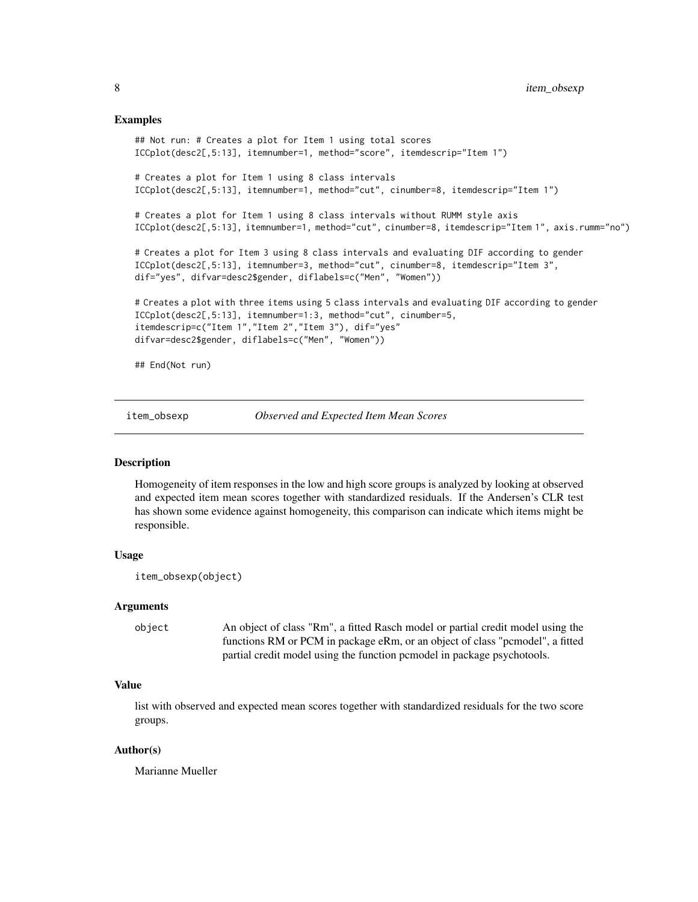#### <span id="page-7-0"></span>Examples

```
## Not run: # Creates a plot for Item 1 using total scores
ICCplot(desc2[,5:13], itemnumber=1, method="score", itemdescrip="Item 1")
# Creates a plot for Item 1 using 8 class intervals
ICCplot(desc2[,5:13], itemnumber=1, method="cut", cinumber=8, itemdescrip="Item 1")
# Creates a plot for Item 1 using 8 class intervals without RUMM style axis
ICCplot(desc2[,5:13], itemnumber=1, method="cut", cinumber=8, itemdescrip="Item 1", axis.rumm="no")
# Creates a plot for Item 3 using 8 class intervals and evaluating DIF according to gender
ICCplot(desc2[,5:13], itemnumber=3, method="cut", cinumber=8, itemdescrip="Item 3",
dif="yes", difvar=desc2$gender, diflabels=c("Men", "Women"))
# Creates a plot with three items using 5 class intervals and evaluating DIF according to gender
ICCplot(desc2[,5:13], itemnumber=1:3, method="cut", cinumber=5,
itemdescrip=c("Item 1","Item 2","Item 3"), dif="yes"
difvar=desc2$gender, diflabels=c("Men", "Women"))
## End(Not run)
```
item\_obsexp *Observed and Expected Item Mean Scores*

#### Description

Homogeneity of item responses in the low and high score groups is analyzed by looking at observed and expected item mean scores together with standardized residuals. If the Andersen's CLR test has shown some evidence against homogeneity, this comparison can indicate which items might be responsible.

#### Usage

```
item_obsexp(object)
```
#### Arguments

object An object of class "Rm", a fitted Rasch model or partial credit model using the functions RM or PCM in package eRm, or an object of class "pcmodel", a fitted partial credit model using the function pcmodel in package psychotools.

#### Value

list with observed and expected mean scores together with standardized residuals for the two score groups.

#### Author(s)

Marianne Mueller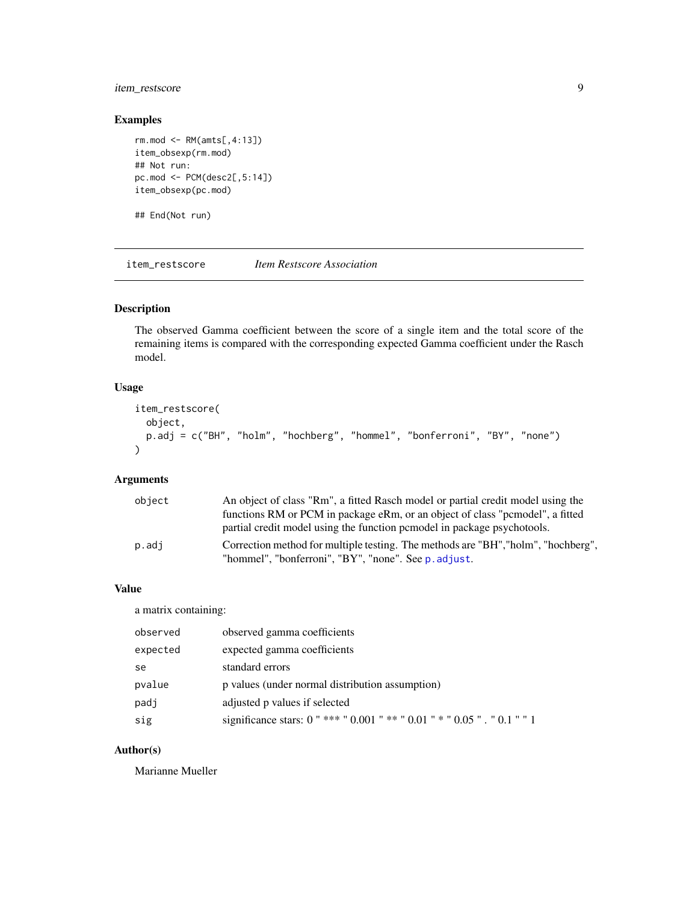# <span id="page-8-0"></span>item\_restscore 9

# Examples

```
rm.mod <- RM(amts[,4:13])
item_obsexp(rm.mod)
## Not run:
pc.mod <- PCM(desc2[,5:14])
item_obsexp(pc.mod)
```
## End(Not run)

item\_restscore *Item Restscore Association*

# Description

The observed Gamma coefficient between the score of a single item and the total score of the remaining items is compared with the corresponding expected Gamma coefficient under the Rasch model.

# Usage

```
item_restscore(
  object,
  p.adj = c("BH", "holm", "hochberg", "hommel", "bonferroni", "BY", "none")
\mathcal{L}
```
# Arguments

| object | An object of class "Rm", a fitted Rasch model or partial credit model using the   |
|--------|-----------------------------------------------------------------------------------|
|        | functions RM or PCM in package eRm, or an object of class "permodel", a fitted    |
|        | partial credit model using the function permodel in package psychotools.          |
| p.adj  | Correction method for multiple testing. The methods are "BH", "holm", "hochberg", |
|        | "hommel", "bonferroni", "BY", "none". See p. adjust.                              |

# Value

a matrix containing:

| observed | observed gamma coefficients                                              |
|----------|--------------------------------------------------------------------------|
| expected | expected gamma coefficients                                              |
| se       | standard errors                                                          |
| pvalue   | p values (under normal distribution assumption)                          |
| padj     | adjusted p values if selected                                            |
| sig      | significance stars: 0 "*** " 0.001 "** " 0.01 " * " 0.05 " . " 0.1 " " 1 |

# Author(s)

Marianne Mueller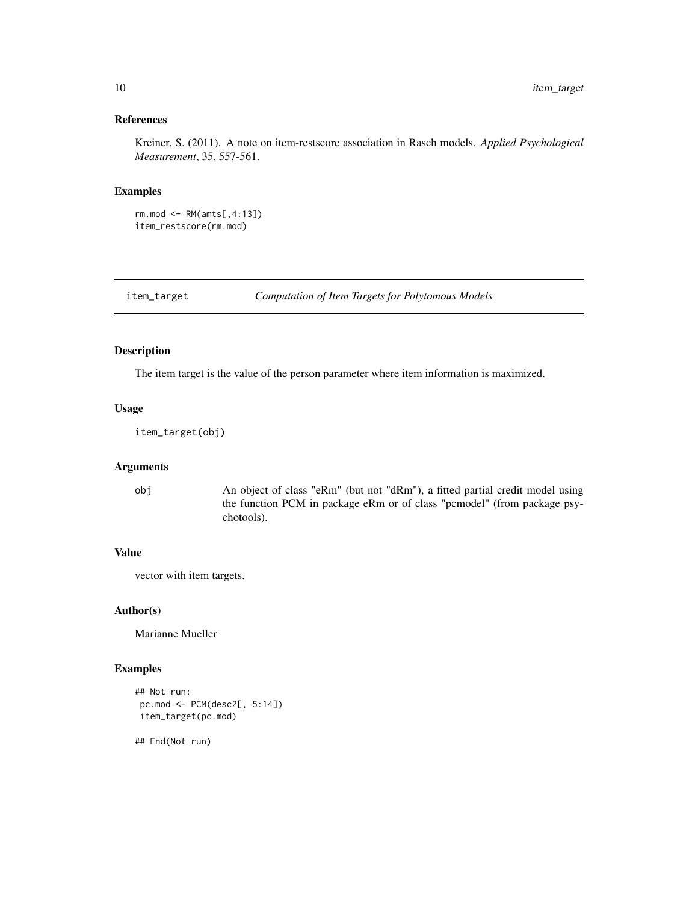# <span id="page-9-0"></span>References

Kreiner, S. (2011). A note on item-restscore association in Rasch models. *Applied Psychological Measurement*, 35, 557-561.

#### Examples

```
rm.mod <- RM(amts[,4:13])
item_restscore(rm.mod)
```
item\_target *Computation of Item Targets for Polytomous Models*

# Description

The item target is the value of the person parameter where item information is maximized.

#### Usage

item\_target(obj)

# Arguments

obj An object of class "eRm" (but not "dRm"), a fitted partial credit model using the function PCM in package eRm or of class "pcmodel" (from package psychotools).

### Value

vector with item targets.

## Author(s)

Marianne Mueller

# Examples

```
## Not run:
pc.mod <- PCM(desc2[, 5:14])
item_target(pc.mod)
```
## End(Not run)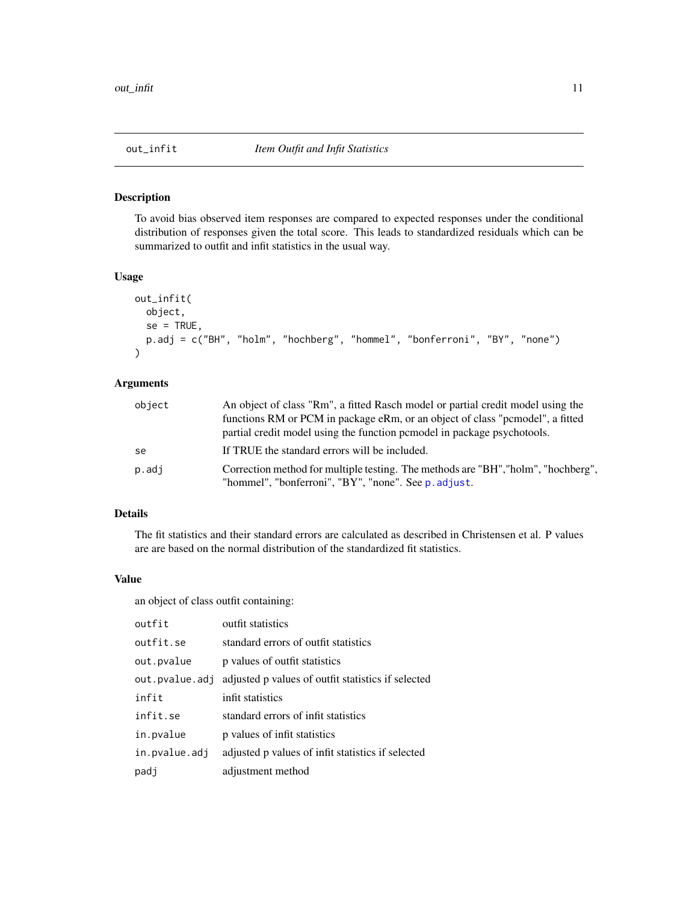<span id="page-10-0"></span>

To avoid bias observed item responses are compared to expected responses under the conditional distribution of responses given the total score. This leads to standardized residuals which can be summarized to outfit and infit statistics in the usual way.

# Usage

```
out_infit(
  object,
  se = TRUE,p.adj = c("BH", "holm", "hochberg", "hommel", "bonferroni", "BY", "none")
\lambda
```
# Arguments

| object | An object of class "Rm", a fitted Rasch model or partial credit model using the                                                           |
|--------|-------------------------------------------------------------------------------------------------------------------------------------------|
|        | functions RM or PCM in package eRm, or an object of class "permodel", a fitted                                                            |
|        | partial credit model using the function permodel in package psychotools.                                                                  |
| se     | If TRUE the standard errors will be included.                                                                                             |
| p.adj  | Correction method for multiple testing. The methods are "BH", "holm", "hochberg",<br>"hommel", "bonferroni", "BY", "none". See p. adjust. |

# Details

The fit statistics and their standard errors are calculated as described in Christensen et al. P values are are based on the normal distribution of the standardized fit statistics.

#### Value

an object of class outfit containing:

| outfit         | outfit statistics                                  |
|----------------|----------------------------------------------------|
| outfit.se      | standard errors of outfit statistics               |
| out.pvalue     | p values of outfit statistics                      |
| out.pvalue.adj | adjusted p values of outfit statistics if selected |
| infit          | infit statistics                                   |
| infit.se       | standard errors of infit statistics                |
| in.pvalue      | p values of infit statistics                       |
| in.pvalue.adj  | adjusted p values of infit statistics if selected  |
| padj           | adjustment method                                  |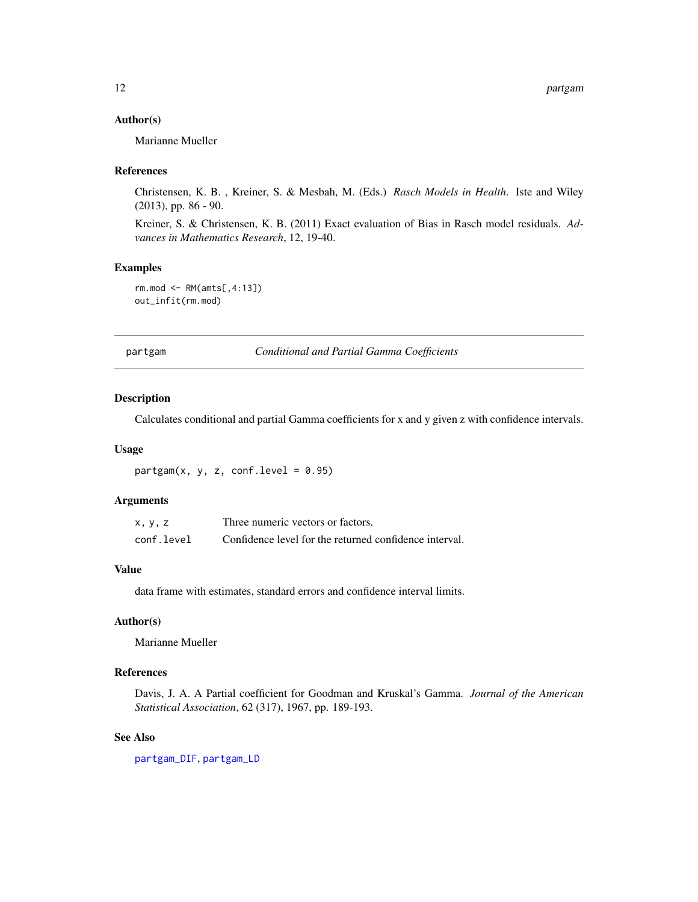#### <span id="page-11-0"></span>Author(s)

Marianne Mueller

#### References

Christensen, K. B. , Kreiner, S. & Mesbah, M. (Eds.) *Rasch Models in Health*. Iste and Wiley (2013), pp. 86 - 90.

Kreiner, S. & Christensen, K. B. (2011) Exact evaluation of Bias in Rasch model residuals. *Advances in Mathematics Research*, 12, 19-40.

#### Examples

```
rm.mod <- RM(amts[,4:13])
out_infit(rm.mod)
```
partgam *Conditional and Partial Gamma Coefficients*

# Description

Calculates conditional and partial Gamma coefficients for x and y given z with confidence intervals.

#### Usage

 $partsam(x, y, z, conf.level = 0.95)$ 

# Arguments

| x, y, z    | Three numeric vectors or factors.                      |
|------------|--------------------------------------------------------|
| conf.level | Confidence level for the returned confidence interval. |

# Value

data frame with estimates, standard errors and confidence interval limits.

#### Author(s)

Marianne Mueller

#### References

Davis, J. A. A Partial coefficient for Goodman and Kruskal's Gamma. *Journal of the American Statistical Association*, 62 (317), 1967, pp. 189-193.

#### See Also

[partgam\\_DIF](#page-12-1), [partgam\\_LD](#page-13-1)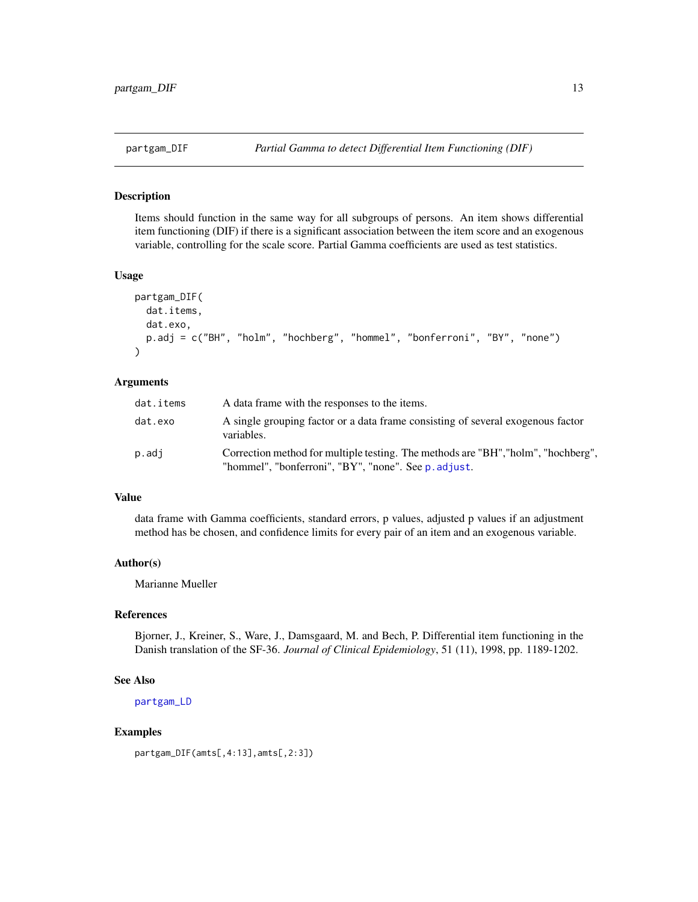<span id="page-12-1"></span><span id="page-12-0"></span>Items should function in the same way for all subgroups of persons. An item shows differential item functioning (DIF) if there is a significant association between the item score and an exogenous variable, controlling for the scale score. Partial Gamma coefficients are used as test statistics.

#### Usage

```
partgam_DIF(
  dat.items,
  dat.exo,
  p.adj = c("BH", "holm", "hochberg", "hommel", "bonferroni", "BY", "none")
)
```
#### Arguments

| dat.items | A data frame with the responses to the items.                                                                                             |
|-----------|-------------------------------------------------------------------------------------------------------------------------------------------|
| dat.exo   | A single grouping factor or a data frame consisting of several exogenous factor<br>variables.                                             |
| p.adj     | Correction method for multiple testing. The methods are "BH", "holm", "hochberg",<br>"hommel", "bonferroni", "BY", "none". See p. adjust. |

#### Value

data frame with Gamma coefficients, standard errors, p values, adjusted p values if an adjustment method has be chosen, and confidence limits for every pair of an item and an exogenous variable.

# Author(s)

Marianne Mueller

#### References

Bjorner, J., Kreiner, S., Ware, J., Damsgaard, M. and Bech, P. Differential item functioning in the Danish translation of the SF-36. *Journal of Clinical Epidemiology*, 51 (11), 1998, pp. 1189-1202.

# See Also

[partgam\\_LD](#page-13-1)

# Examples

```
partgam_DIF(amts[,4:13],amts[,2:3])
```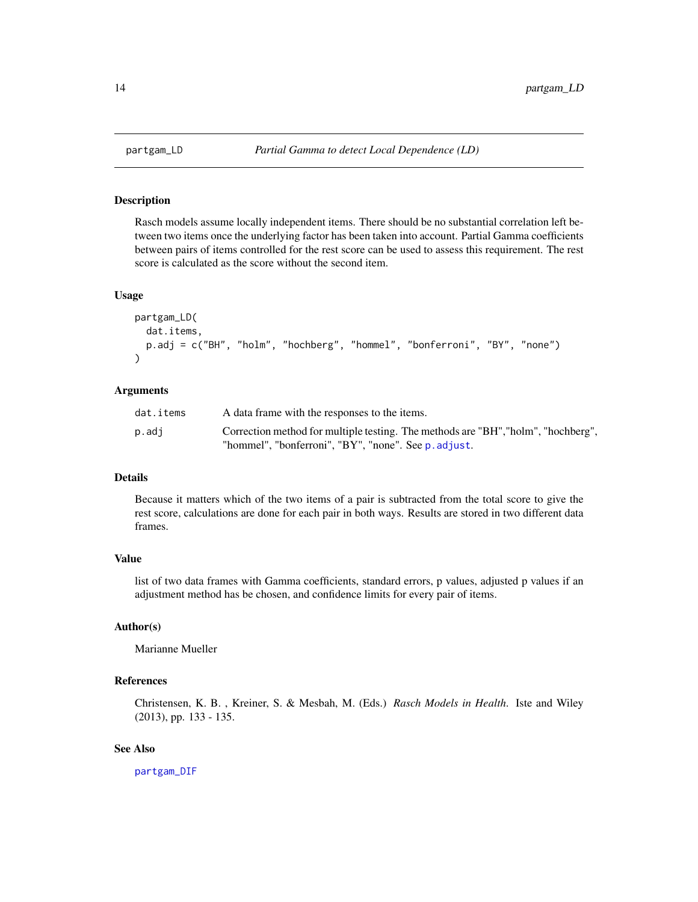<span id="page-13-1"></span><span id="page-13-0"></span>

Rasch models assume locally independent items. There should be no substantial correlation left between two items once the underlying factor has been taken into account. Partial Gamma coefficients between pairs of items controlled for the rest score can be used to assess this requirement. The rest score is calculated as the score without the second item.

#### Usage

```
partgam_LD(
 dat.items,
 p.adj = c("BH", "holm", "hochberg", "hommel", "bonferroni", "BY", "none")
)
```
#### Arguments

| dat.items | A data frame with the responses to the items.                                                                                             |
|-----------|-------------------------------------------------------------------------------------------------------------------------------------------|
| p.adj     | Correction method for multiple testing. The methods are "BH", "holm", "hochberg",<br>"hommel", "bonferroni", "BY", "none". See p. adjust. |

# Details

Because it matters which of the two items of a pair is subtracted from the total score to give the rest score, calculations are done for each pair in both ways. Results are stored in two different data frames.

#### Value

list of two data frames with Gamma coefficients, standard errors, p values, adjusted p values if an adjustment method has be chosen, and confidence limits for every pair of items.

# Author(s)

Marianne Mueller

#### References

Christensen, K. B. , Kreiner, S. & Mesbah, M. (Eds.) *Rasch Models in Health*. Iste and Wiley (2013), pp. 133 - 135.

### See Also

[partgam\\_DIF](#page-12-1)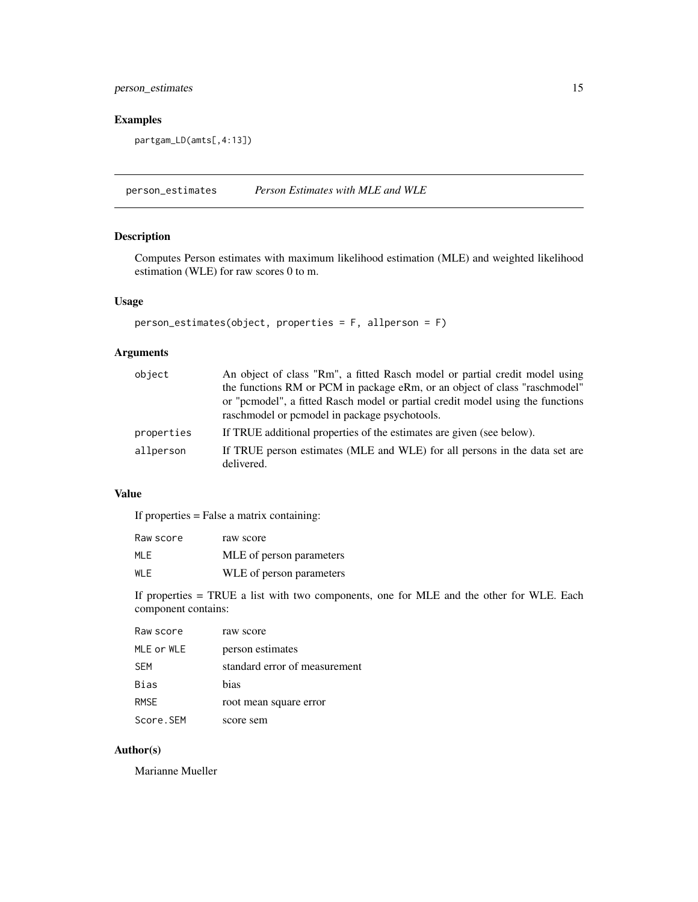# <span id="page-14-0"></span>person\_estimates 15

# Examples

partgam\_LD(amts[,4:13])

person\_estimates *Person Estimates with MLE and WLE*

# Description

Computes Person estimates with maximum likelihood estimation (MLE) and weighted likelihood estimation (WLE) for raw scores 0 to m.

# Usage

```
person_estimates(object, properties = F, allperson = F)
```
# Arguments

| object     | An object of class "Rm", a fitted Rasch model or partial credit model using<br>the functions RM or PCM in package eRm, or an object of class "raschmodel" |
|------------|-----------------------------------------------------------------------------------------------------------------------------------------------------------|
|            | or "permodel", a fitted Rasch model or partial credit model using the functions<br>raschmodel or permodel in package psychotools.                         |
| properties | If TRUE additional properties of the estimates are given (see below).                                                                                     |
| allperson  | If TRUE person estimates (MLE and WLE) for all persons in the data set are<br>delivered.                                                                  |

# Value

If properties = False a matrix containing:

| Raw score | raw score                |
|-----------|--------------------------|
| MI F      | MLE of person parameters |
| WI F      | WLE of person parameters |

If properties = TRUE a list with two components, one for MLE and the other for WLE. Each component contains:

| Raw score   | raw score                     |
|-------------|-------------------------------|
| MLE or WLE  | person estimates              |
| <b>SFM</b>  | standard error of measurement |
| Bias        | hias                          |
| <b>RMSF</b> | root mean square error        |
| Score.SEM   | score sem                     |

# Author(s)

Marianne Mueller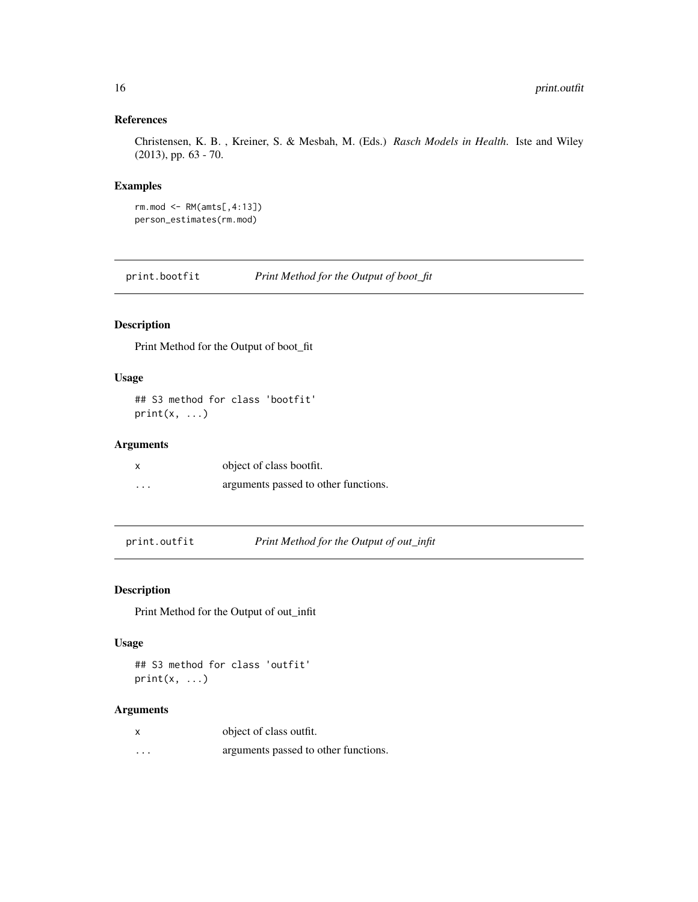# <span id="page-15-0"></span>References

Christensen, K. B. , Kreiner, S. & Mesbah, M. (Eds.) *Rasch Models in Health*. Iste and Wiley (2013), pp. 63 - 70.

#### Examples

```
rm.mod \leftarrow RM(amts[, 4:13])person_estimates(rm.mod)
```
print.bootfit *Print Method for the Output of boot\_fit*

# Description

Print Method for the Output of boot\_fit

# Usage

```
## S3 method for class 'bootfit'
print(x, \ldots)
```
# Arguments

| x                       | object of class bootfit.             |
|-------------------------|--------------------------------------|
| $\cdot$ $\cdot$ $\cdot$ | arguments passed to other functions. |

print.outfit *Print Method for the Output of out\_infit*

# Description

Print Method for the Output of out\_infit

#### Usage

## S3 method for class 'outfit'  $print(x, \ldots)$ 

## Arguments

| X        | object of class outfit.              |
|----------|--------------------------------------|
| $\cdots$ | arguments passed to other functions. |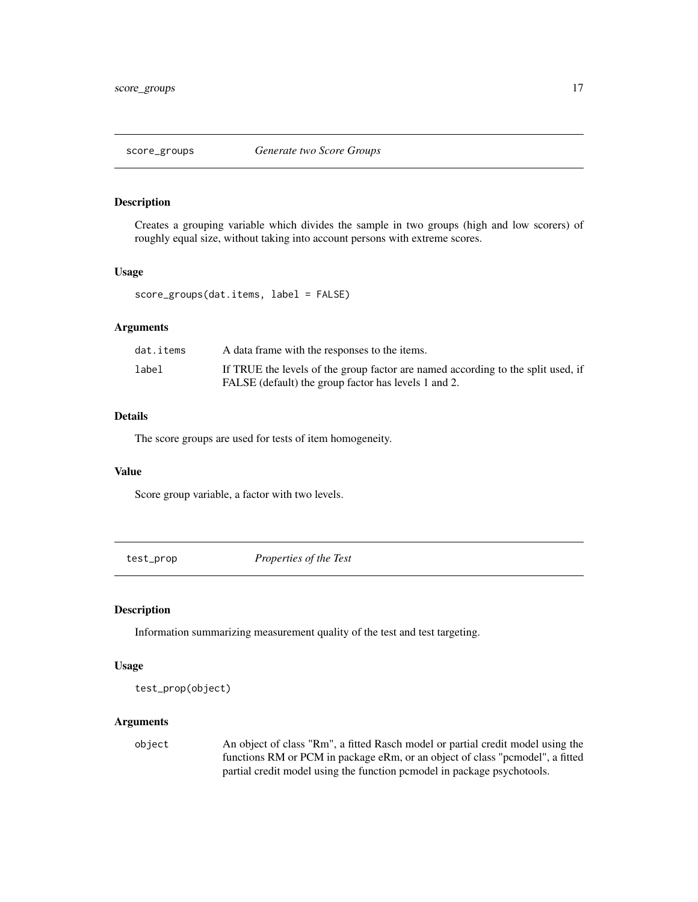<span id="page-16-0"></span>

Creates a grouping variable which divides the sample in two groups (high and low scorers) of roughly equal size, without taking into account persons with extreme scores.

#### Usage

score\_groups(dat.items, label = FALSE)

#### Arguments

| dat.items | A data frame with the responses to the items.                                    |
|-----------|----------------------------------------------------------------------------------|
| label     | If TRUE the levels of the group factor are named according to the split used, if |
|           | FALSE (default) the group factor has levels 1 and 2.                             |

# Details

The score groups are used for tests of item homogeneity.

#### Value

Score group variable, a factor with two levels.

test\_prop *Properties of the Test*

# Description

Information summarizing measurement quality of the test and test targeting.

#### Usage

```
test_prop(object)
```
### Arguments

object An object of class "Rm", a fitted Rasch model or partial credit model using the functions RM or PCM in package eRm, or an object of class "pcmodel", a fitted partial credit model using the function pcmodel in package psychotools.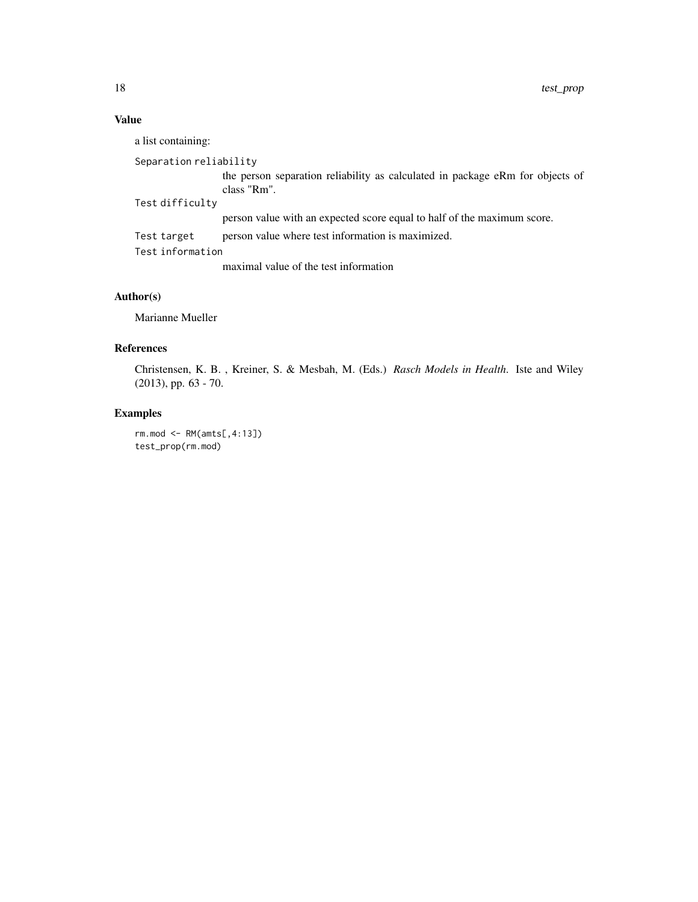# Value

a list containing:

```
Separation reliability
```
the person separation reliability as calculated in package eRm for objects of class "Rm".

Test difficulty

person value with an expected score equal to half of the maximum score.

Test target person value where test information is maximized.

Test information

maximal value of the test information

# Author(s)

Marianne Mueller

# References

Christensen, K. B. , Kreiner, S. & Mesbah, M. (Eds.) *Rasch Models in Health*. Iste and Wiley (2013), pp. 63 - 70.

# Examples

rm.mod <- RM(amts[,4:13]) test\_prop(rm.mod)